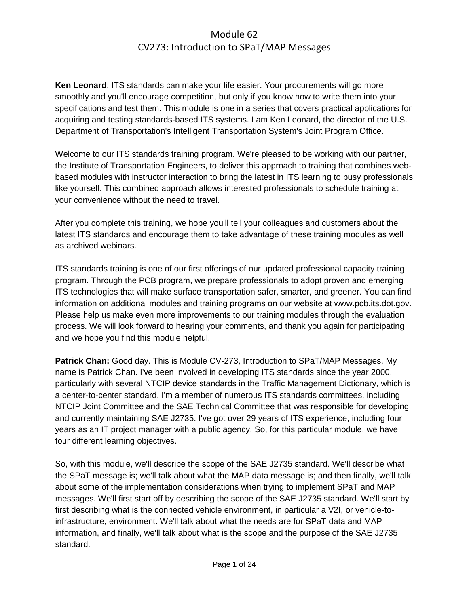**Ken Leonard**: ITS standards can make your life easier. Your procurements will go more smoothly and you'll encourage competition, but only if you know how to write them into your specifications and test them. This module is one in a series that covers practical applications for acquiring and testing standards-based ITS systems. I am Ken Leonard, the director of the U.S. Department of Transportation's Intelligent Transportation System's Joint Program Office.

Welcome to our ITS standards training program. We're pleased to be working with our partner, the Institute of Transportation Engineers, to deliver this approach to training that combines webbased modules with instructor interaction to bring the latest in ITS learning to busy professionals like yourself. This combined approach allows interested professionals to schedule training at your convenience without the need to travel.

After you complete this training, we hope you'll tell your colleagues and customers about the latest ITS standards and encourage them to take advantage of these training modules as well as archived webinars.

ITS standards training is one of our first offerings of our updated professional capacity training program. Through the PCB program, we prepare professionals to adopt proven and emerging ITS technologies that will make surface transportation safer, smarter, and greener. You can find information on additional modules and training programs on our website at www.pcb.its.dot.gov. Please help us make even more improvements to our training modules through the evaluation process. We will look forward to hearing your comments, and thank you again for participating and we hope you find this module helpful.

**Patrick Chan:** Good day. This is Module CV-273, Introduction to SPaT/MAP Messages. My name is Patrick Chan. I've been involved in developing ITS standards since the year 2000, particularly with several NTCIP device standards in the Traffic Management Dictionary, which is a center-to-center standard. I'm a member of numerous ITS standards committees, including NTCIP Joint Committee and the SAE Technical Committee that was responsible for developing and currently maintaining SAE J2735. I've got over 29 years of ITS experience, including four years as an IT project manager with a public agency. So, for this particular module, we have four different learning objectives.

So, with this module, we'll describe the scope of the SAE J2735 standard. We'll describe what the SPaT message is; we'll talk about what the MAP data message is; and then finally, we'll talk about some of the implementation considerations when trying to implement SPaT and MAP messages. We'll first start off by describing the scope of the SAE J2735 standard. We'll start by first describing what is the connected vehicle environment, in particular a V2I, or vehicle-toinfrastructure, environment. We'll talk about what the needs are for SPaT data and MAP information, and finally, we'll talk about what is the scope and the purpose of the SAE J2735 standard.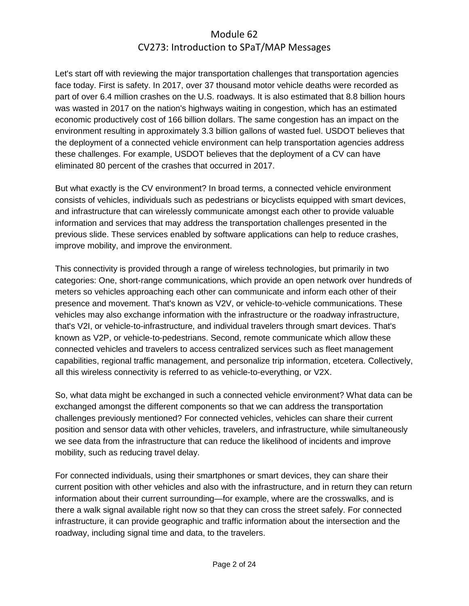Let's start off with reviewing the major transportation challenges that transportation agencies face today. First is safety. In 2017, over 37 thousand motor vehicle deaths were recorded as part of over 6.4 million crashes on the U.S. roadways. It is also estimated that 8.8 billion hours was wasted in 2017 on the nation's highways waiting in congestion, which has an estimated economic productively cost of 166 billion dollars. The same congestion has an impact on the environment resulting in approximately 3.3 billion gallons of wasted fuel. USDOT believes that the deployment of a connected vehicle environment can help transportation agencies address these challenges. For example, USDOT believes that the deployment of a CV can have eliminated 80 percent of the crashes that occurred in 2017.

But what exactly is the CV environment? In broad terms, a connected vehicle environment consists of vehicles, individuals such as pedestrians or bicyclists equipped with smart devices, and infrastructure that can wirelessly communicate amongst each other to provide valuable information and services that may address the transportation challenges presented in the previous slide. These services enabled by software applications can help to reduce crashes, improve mobility, and improve the environment.

This connectivity is provided through a range of wireless technologies, but primarily in two categories: One, short-range communications, which provide an open network over hundreds of meters so vehicles approaching each other can communicate and inform each other of their presence and movement. That's known as V2V, or vehicle-to-vehicle communications. These vehicles may also exchange information with the infrastructure or the roadway infrastructure, that's V2I, or vehicle-to-infrastructure, and individual travelers through smart devices. That's known as V2P, or vehicle-to-pedestrians. Second, remote communicate which allow these connected vehicles and travelers to access centralized services such as fleet management capabilities, regional traffic management, and personalize trip information, etcetera. Collectively, all this wireless connectivity is referred to as vehicle-to-everything, or V2X.

So, what data might be exchanged in such a connected vehicle environment? What data can be exchanged amongst the different components so that we can address the transportation challenges previously mentioned? For connected vehicles, vehicles can share their current position and sensor data with other vehicles, travelers, and infrastructure, while simultaneously we see data from the infrastructure that can reduce the likelihood of incidents and improve mobility, such as reducing travel delay.

For connected individuals, using their smartphones or smart devices, they can share their current position with other vehicles and also with the infrastructure, and in return they can return information about their current surrounding—for example, where are the crosswalks, and is there a walk signal available right now so that they can cross the street safely. For connected infrastructure, it can provide geographic and traffic information about the intersection and the roadway, including signal time and data, to the travelers.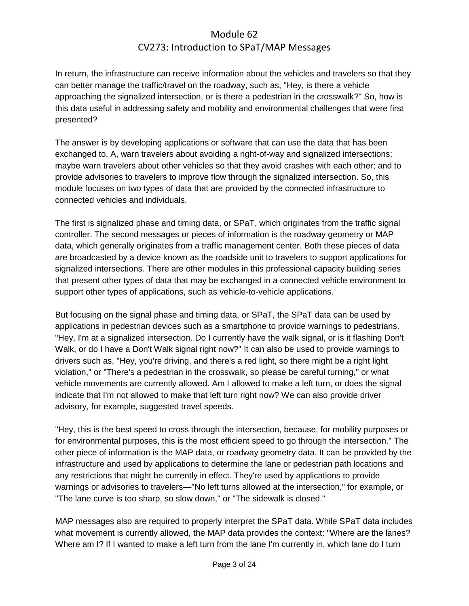In return, the infrastructure can receive information about the vehicles and travelers so that they can better manage the traffic/travel on the roadway, such as, "Hey, is there a vehicle approaching the signalized intersection, or is there a pedestrian in the crosswalk?" So, how is this data useful in addressing safety and mobility and environmental challenges that were first presented?

The answer is by developing applications or software that can use the data that has been exchanged to, A, warn travelers about avoiding a right-of-way and signalized intersections; maybe warn travelers about other vehicles so that they avoid crashes with each other; and to provide advisories to travelers to improve flow through the signalized intersection. So, this module focuses on two types of data that are provided by the connected infrastructure to connected vehicles and individuals.

The first is signalized phase and timing data, or SPaT, which originates from the traffic signal controller. The second messages or pieces of information is the roadway geometry or MAP data, which generally originates from a traffic management center. Both these pieces of data are broadcasted by a device known as the roadside unit to travelers to support applications for signalized intersections. There are other modules in this professional capacity building series that present other types of data that may be exchanged in a connected vehicle environment to support other types of applications, such as vehicle-to-vehicle applications.

But focusing on the signal phase and timing data, or SPaT, the SPaT data can be used by applications in pedestrian devices such as a smartphone to provide warnings to pedestrians. "Hey, I'm at a signalized intersection. Do I currently have the walk signal, or is it flashing Don't Walk, or do I have a Don't Walk signal right now?" It can also be used to provide warnings to drivers such as, "Hey, you're driving, and there's a red light, so there might be a right light violation," or "There's a pedestrian in the crosswalk, so please be careful turning," or what vehicle movements are currently allowed. Am I allowed to make a left turn, or does the signal indicate that I'm not allowed to make that left turn right now? We can also provide driver advisory, for example, suggested travel speeds.

"Hey, this is the best speed to cross through the intersection, because, for mobility purposes or for environmental purposes, this is the most efficient speed to go through the intersection." The other piece of information is the MAP data, or roadway geometry data. It can be provided by the infrastructure and used by applications to determine the lane or pedestrian path locations and any restrictions that might be currently in effect. They're used by applications to provide warnings or advisories to travelers—"No left turns allowed at the intersection," for example, or "The lane curve is too sharp, so slow down," or "The sidewalk is closed."

MAP messages also are required to properly interpret the SPaT data. While SPaT data includes what movement is currently allowed, the MAP data provides the context: "Where are the lanes? Where am I? If I wanted to make a left turn from the lane I'm currently in, which lane do I turn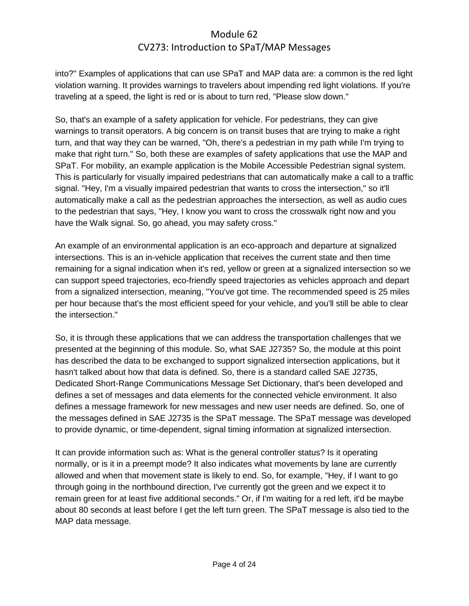into?" Examples of applications that can use SPaT and MAP data are: a common is the red light violation warning. It provides warnings to travelers about impending red light violations. If you're traveling at a speed, the light is red or is about to turn red, "Please slow down."

So, that's an example of a safety application for vehicle. For pedestrians, they can give warnings to transit operators. A big concern is on transit buses that are trying to make a right turn, and that way they can be warned, "Oh, there's a pedestrian in my path while I'm trying to make that right turn." So, both these are examples of safety applications that use the MAP and SPaT. For mobility, an example application is the Mobile Accessible Pedestrian signal system. This is particularly for visually impaired pedestrians that can automatically make a call to a traffic signal. "Hey, I'm a visually impaired pedestrian that wants to cross the intersection," so it'll automatically make a call as the pedestrian approaches the intersection, as well as audio cues to the pedestrian that says, "Hey, I know you want to cross the crosswalk right now and you have the Walk signal. So, go ahead, you may safety cross."

An example of an environmental application is an eco-approach and departure at signalized intersections. This is an in-vehicle application that receives the current state and then time remaining for a signal indication when it's red, yellow or green at a signalized intersection so we can support speed trajectories, eco-friendly speed trajectories as vehicles approach and depart from a signalized intersection, meaning, "You've got time. The recommended speed is 25 miles per hour because that's the most efficient speed for your vehicle, and you'll still be able to clear the intersection."

So, it is through these applications that we can address the transportation challenges that we presented at the beginning of this module. So, what SAE J2735? So, the module at this point has described the data to be exchanged to support signalized intersection applications, but it hasn't talked about how that data is defined. So, there is a standard called SAE J2735, Dedicated Short-Range Communications Message Set Dictionary, that's been developed and defines a set of messages and data elements for the connected vehicle environment. It also defines a message framework for new messages and new user needs are defined. So, one of the messages defined in SAE J2735 is the SPaT message. The SPaT message was developed to provide dynamic, or time-dependent, signal timing information at signalized intersection.

It can provide information such as: What is the general controller status? Is it operating normally, or is it in a preempt mode? It also indicates what movements by lane are currently allowed and when that movement state is likely to end. So, for example, "Hey, if I want to go through going in the northbound direction, I've currently got the green and we expect it to remain green for at least five additional seconds." Or, if I'm waiting for a red left, it'd be maybe about 80 seconds at least before I get the left turn green. The SPaT message is also tied to the MAP data message.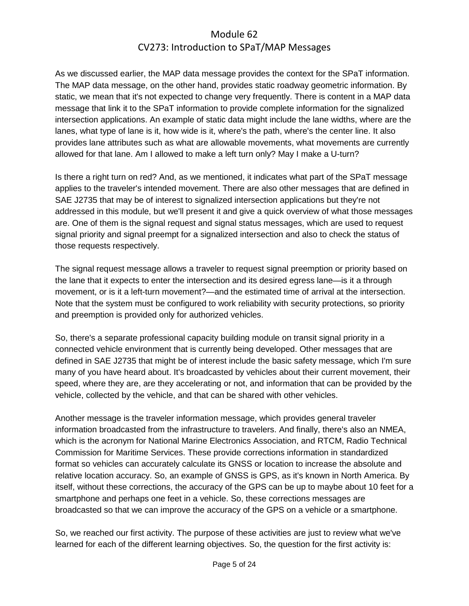As we discussed earlier, the MAP data message provides the context for the SPaT information. The MAP data message, on the other hand, provides static roadway geometric information. By static, we mean that it's not expected to change very frequently. There is content in a MAP data message that link it to the SPaT information to provide complete information for the signalized intersection applications. An example of static data might include the lane widths, where are the lanes, what type of lane is it, how wide is it, where's the path, where's the center line. It also provides lane attributes such as what are allowable movements, what movements are currently allowed for that lane. Am I allowed to make a left turn only? May I make a U-turn?

Is there a right turn on red? And, as we mentioned, it indicates what part of the SPaT message applies to the traveler's intended movement. There are also other messages that are defined in SAE J2735 that may be of interest to signalized intersection applications but they're not addressed in this module, but we'll present it and give a quick overview of what those messages are. One of them is the signal request and signal status messages, which are used to request signal priority and signal preempt for a signalized intersection and also to check the status of those requests respectively.

The signal request message allows a traveler to request signal preemption or priority based on the lane that it expects to enter the intersection and its desired egress lane—is it a through movement, or is it a left-turn movement?—and the estimated time of arrival at the intersection. Note that the system must be configured to work reliability with security protections, so priority and preemption is provided only for authorized vehicles.

So, there's a separate professional capacity building module on transit signal priority in a connected vehicle environment that is currently being developed. Other messages that are defined in SAE J2735 that might be of interest include the basic safety message, which I'm sure many of you have heard about. It's broadcasted by vehicles about their current movement, their speed, where they are, are they accelerating or not, and information that can be provided by the vehicle, collected by the vehicle, and that can be shared with other vehicles.

Another message is the traveler information message, which provides general traveler information broadcasted from the infrastructure to travelers. And finally, there's also an NMEA, which is the acronym for National Marine Electronics Association, and RTCM, Radio Technical Commission for Maritime Services. These provide corrections information in standardized format so vehicles can accurately calculate its GNSS or location to increase the absolute and relative location accuracy. So, an example of GNSS is GPS, as it's known in North America. By itself, without these corrections, the accuracy of the GPS can be up to maybe about 10 feet for a smartphone and perhaps one feet in a vehicle. So, these corrections messages are broadcasted so that we can improve the accuracy of the GPS on a vehicle or a smartphone.

So, we reached our first activity. The purpose of these activities are just to review what we've learned for each of the different learning objectives. So, the question for the first activity is: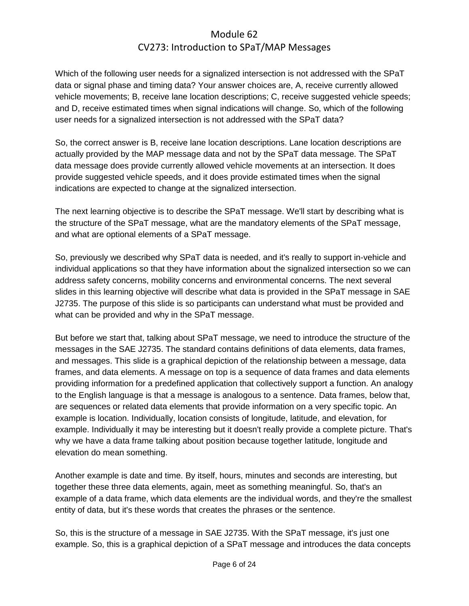Which of the following user needs for a signalized intersection is not addressed with the SPaT data or signal phase and timing data? Your answer choices are, A, receive currently allowed vehicle movements; B, receive lane location descriptions; C, receive suggested vehicle speeds; and D, receive estimated times when signal indications will change. So, which of the following user needs for a signalized intersection is not addressed with the SPaT data?

So, the correct answer is B, receive lane location descriptions. Lane location descriptions are actually provided by the MAP message data and not by the SPaT data message. The SPaT data message does provide currently allowed vehicle movements at an intersection. It does provide suggested vehicle speeds, and it does provide estimated times when the signal indications are expected to change at the signalized intersection.

The next learning objective is to describe the SPaT message. We'll start by describing what is the structure of the SPaT message, what are the mandatory elements of the SPaT message, and what are optional elements of a SPaT message.

So, previously we described why SPaT data is needed, and it's really to support in-vehicle and individual applications so that they have information about the signalized intersection so we can address safety concerns, mobility concerns and environmental concerns. The next several slides in this learning objective will describe what data is provided in the SPaT message in SAE J2735. The purpose of this slide is so participants can understand what must be provided and what can be provided and why in the SPaT message.

But before we start that, talking about SPaT message, we need to introduce the structure of the messages in the SAE J2735. The standard contains definitions of data elements, data frames, and messages. This slide is a graphical depiction of the relationship between a message, data frames, and data elements. A message on top is a sequence of data frames and data elements providing information for a predefined application that collectively support a function. An analogy to the English language is that a message is analogous to a sentence. Data frames, below that, are sequences or related data elements that provide information on a very specific topic. An example is location. Individually, location consists of longitude, latitude, and elevation, for example. Individually it may be interesting but it doesn't really provide a complete picture. That's why we have a data frame talking about position because together latitude, longitude and elevation do mean something.

Another example is date and time. By itself, hours, minutes and seconds are interesting, but together these three data elements, again, meet as something meaningful. So, that's an example of a data frame, which data elements are the individual words, and they're the smallest entity of data, but it's these words that creates the phrases or the sentence.

So, this is the structure of a message in SAE J2735. With the SPaT message, it's just one example. So, this is a graphical depiction of a SPaT message and introduces the data concepts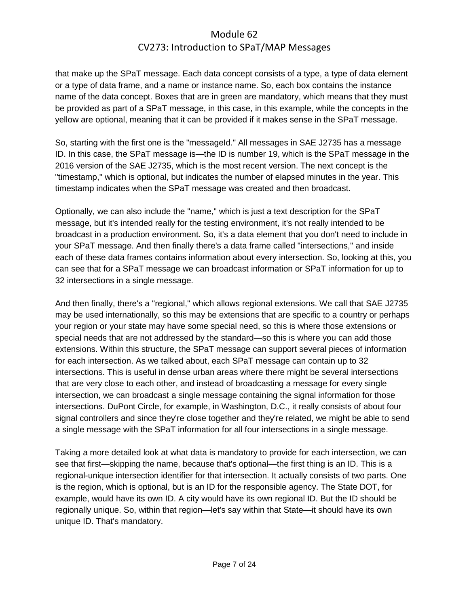that make up the SPaT message. Each data concept consists of a type, a type of data element or a type of data frame, and a name or instance name. So, each box contains the instance name of the data concept. Boxes that are in green are mandatory, which means that they must be provided as part of a SPaT message, in this case, in this example, while the concepts in the yellow are optional, meaning that it can be provided if it makes sense in the SPaT message.

So, starting with the first one is the "messageId." All messages in SAE J2735 has a message ID. In this case, the SPaT message is—the ID is number 19, which is the SPaT message in the 2016 version of the SAE J2735, which is the most recent version. The next concept is the "timestamp," which is optional, but indicates the number of elapsed minutes in the year. This timestamp indicates when the SPaT message was created and then broadcast.

Optionally, we can also include the "name," which is just a text description for the SPaT message, but it's intended really for the testing environment, it's not really intended to be broadcast in a production environment. So, it's a data element that you don't need to include in your SPaT message. And then finally there's a data frame called "intersections," and inside each of these data frames contains information about every intersection. So, looking at this, you can see that for a SPaT message we can broadcast information or SPaT information for up to 32 intersections in a single message.

And then finally, there's a "regional," which allows regional extensions. We call that SAE J2735 may be used internationally, so this may be extensions that are specific to a country or perhaps your region or your state may have some special need, so this is where those extensions or special needs that are not addressed by the standard—so this is where you can add those extensions. Within this structure, the SPaT message can support several pieces of information for each intersection. As we talked about, each SPaT message can contain up to 32 intersections. This is useful in dense urban areas where there might be several intersections that are very close to each other, and instead of broadcasting a message for every single intersection, we can broadcast a single message containing the signal information for those intersections. DuPont Circle, for example, in Washington, D.C., it really consists of about four signal controllers and since they're close together and they're related, we might be able to send a single message with the SPaT information for all four intersections in a single message.

Taking a more detailed look at what data is mandatory to provide for each intersection, we can see that first—skipping the name, because that's optional—the first thing is an ID. This is a regional-unique intersection identifier for that intersection. It actually consists of two parts. One is the region, which is optional, but is an ID for the responsible agency. The State DOT, for example, would have its own ID. A city would have its own regional ID. But the ID should be regionally unique. So, within that region—let's say within that State—it should have its own unique ID. That's mandatory.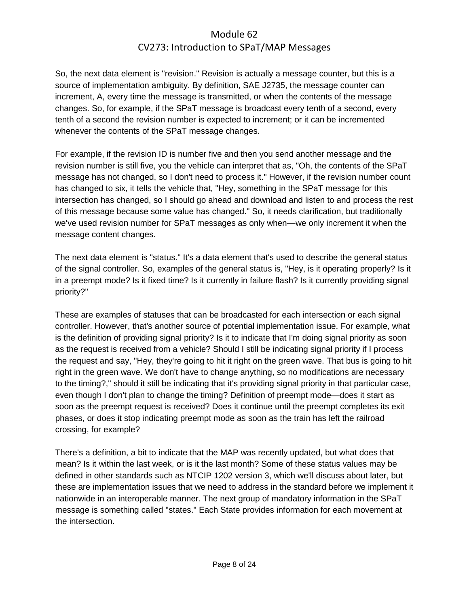So, the next data element is "revision." Revision is actually a message counter, but this is a source of implementation ambiguity. By definition, SAE J2735, the message counter can increment, A, every time the message is transmitted, or when the contents of the message changes. So, for example, if the SPaT message is broadcast every tenth of a second, every tenth of a second the revision number is expected to increment; or it can be incremented whenever the contents of the SPaT message changes.

For example, if the revision ID is number five and then you send another message and the revision number is still five, you the vehicle can interpret that as, "Oh, the contents of the SPaT message has not changed, so I don't need to process it." However, if the revision number count has changed to six, it tells the vehicle that, "Hey, something in the SPaT message for this intersection has changed, so I should go ahead and download and listen to and process the rest of this message because some value has changed." So, it needs clarification, but traditionally we've used revision number for SPaT messages as only when—we only increment it when the message content changes.

The next data element is "status." It's a data element that's used to describe the general status of the signal controller. So, examples of the general status is, "Hey, is it operating properly? Is it in a preempt mode? Is it fixed time? Is it currently in failure flash? Is it currently providing signal priority?"

These are examples of statuses that can be broadcasted for each intersection or each signal controller. However, that's another source of potential implementation issue. For example, what is the definition of providing signal priority? Is it to indicate that I'm doing signal priority as soon as the request is received from a vehicle? Should I still be indicating signal priority if I process the request and say, "Hey, they're going to hit it right on the green wave. That bus is going to hit right in the green wave. We don't have to change anything, so no modifications are necessary to the timing?," should it still be indicating that it's providing signal priority in that particular case, even though I don't plan to change the timing? Definition of preempt mode—does it start as soon as the preempt request is received? Does it continue until the preempt completes its exit phases, or does it stop indicating preempt mode as soon as the train has left the railroad crossing, for example?

There's a definition, a bit to indicate that the MAP was recently updated, but what does that mean? Is it within the last week, or is it the last month? Some of these status values may be defined in other standards such as NTCIP 1202 version 3, which we'll discuss about later, but these are implementation issues that we need to address in the standard before we implement it nationwide in an interoperable manner. The next group of mandatory information in the SPaT message is something called "states." Each State provides information for each movement at the intersection.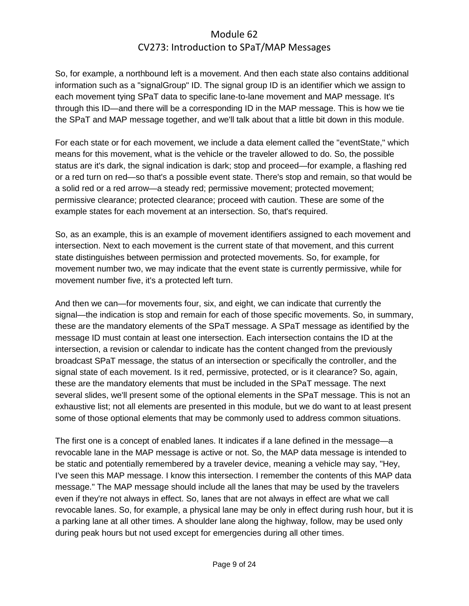So, for example, a northbound left is a movement. And then each state also contains additional information such as a "signalGroup" ID. The signal group ID is an identifier which we assign to each movement tying SPaT data to specific lane-to-lane movement and MAP message. It's through this ID—and there will be a corresponding ID in the MAP message. This is how we tie the SPaT and MAP message together, and we'll talk about that a little bit down in this module.

For each state or for each movement, we include a data element called the "eventState," which means for this movement, what is the vehicle or the traveler allowed to do. So, the possible status are it's dark, the signal indication is dark; stop and proceed—for example, a flashing red or a red turn on red—so that's a possible event state. There's stop and remain, so that would be a solid red or a red arrow—a steady red; permissive movement; protected movement; permissive clearance; protected clearance; proceed with caution. These are some of the example states for each movement at an intersection. So, that's required.

So, as an example, this is an example of movement identifiers assigned to each movement and intersection. Next to each movement is the current state of that movement, and this current state distinguishes between permission and protected movements. So, for example, for movement number two, we may indicate that the event state is currently permissive, while for movement number five, it's a protected left turn.

And then we can—for movements four, six, and eight, we can indicate that currently the signal—the indication is stop and remain for each of those specific movements. So, in summary, these are the mandatory elements of the SPaT message. A SPaT message as identified by the message ID must contain at least one intersection. Each intersection contains the ID at the intersection, a revision or calendar to indicate has the content changed from the previously broadcast SPaT message, the status of an intersection or specifically the controller, and the signal state of each movement. Is it red, permissive, protected, or is it clearance? So, again, these are the mandatory elements that must be included in the SPaT message. The next several slides, we'll present some of the optional elements in the SPaT message. This is not an exhaustive list; not all elements are presented in this module, but we do want to at least present some of those optional elements that may be commonly used to address common situations.

The first one is a concept of enabled lanes. It indicates if a lane defined in the message—a revocable lane in the MAP message is active or not. So, the MAP data message is intended to be static and potentially remembered by a traveler device, meaning a vehicle may say, "Hey, I've seen this MAP message. I know this intersection. I remember the contents of this MAP data message." The MAP message should include all the lanes that may be used by the travelers even if they're not always in effect. So, lanes that are not always in effect are what we call revocable lanes. So, for example, a physical lane may be only in effect during rush hour, but it is a parking lane at all other times. A shoulder lane along the highway, follow, may be used only during peak hours but not used except for emergencies during all other times.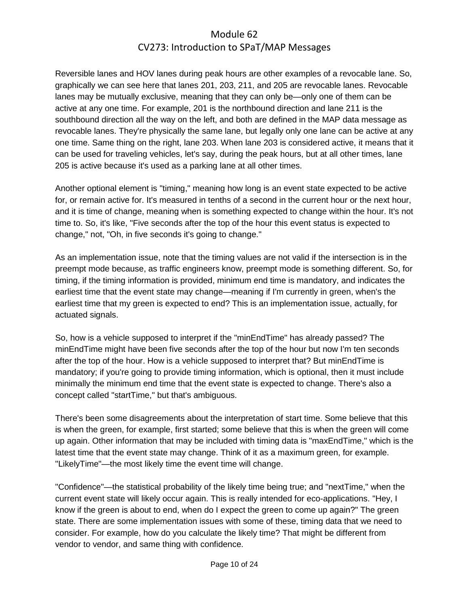Reversible lanes and HOV lanes during peak hours are other examples of a revocable lane. So, graphically we can see here that lanes 201, 203, 211, and 205 are revocable lanes. Revocable lanes may be mutually exclusive, meaning that they can only be—only one of them can be active at any one time. For example, 201 is the northbound direction and lane 211 is the southbound direction all the way on the left, and both are defined in the MAP data message as revocable lanes. They're physically the same lane, but legally only one lane can be active at any one time. Same thing on the right, lane 203. When lane 203 is considered active, it means that it can be used for traveling vehicles, let's say, during the peak hours, but at all other times, lane 205 is active because it's used as a parking lane at all other times.

Another optional element is "timing," meaning how long is an event state expected to be active for, or remain active for. It's measured in tenths of a second in the current hour or the next hour, and it is time of change, meaning when is something expected to change within the hour. It's not time to. So, it's like, "Five seconds after the top of the hour this event status is expected to change," not, "Oh, in five seconds it's going to change."

As an implementation issue, note that the timing values are not valid if the intersection is in the preempt mode because, as traffic engineers know, preempt mode is something different. So, for timing, if the timing information is provided, minimum end time is mandatory, and indicates the earliest time that the event state may change—meaning if I'm currently in green, when's the earliest time that my green is expected to end? This is an implementation issue, actually, for actuated signals.

So, how is a vehicle supposed to interpret if the "minEndTime" has already passed? The minEndTime might have been five seconds after the top of the hour but now I'm ten seconds after the top of the hour. How is a vehicle supposed to interpret that? But minEndTime is mandatory; if you're going to provide timing information, which is optional, then it must include minimally the minimum end time that the event state is expected to change. There's also a concept called "startTime," but that's ambiguous.

There's been some disagreements about the interpretation of start time. Some believe that this is when the green, for example, first started; some believe that this is when the green will come up again. Other information that may be included with timing data is "maxEndTime," which is the latest time that the event state may change. Think of it as a maximum green, for example. "LikelyTime"—the most likely time the event time will change.

"Confidence"—the statistical probability of the likely time being true; and "nextTime," when the current event state will likely occur again. This is really intended for eco-applications. "Hey, I know if the green is about to end, when do I expect the green to come up again?" The green state. There are some implementation issues with some of these, timing data that we need to consider. For example, how do you calculate the likely time? That might be different from vendor to vendor, and same thing with confidence.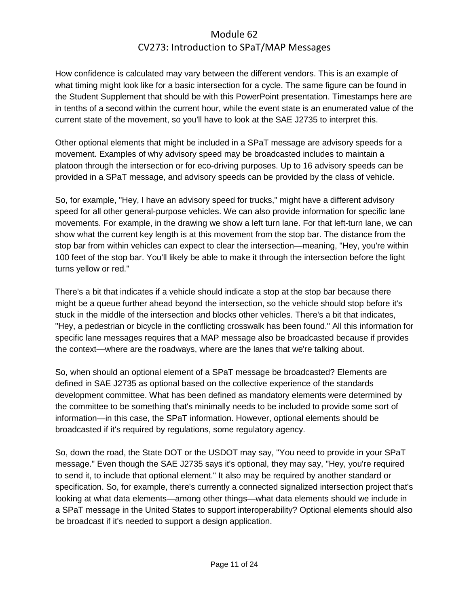How confidence is calculated may vary between the different vendors. This is an example of what timing might look like for a basic intersection for a cycle. The same figure can be found in the Student Supplement that should be with this PowerPoint presentation. Timestamps here are in tenths of a second within the current hour, while the event state is an enumerated value of the current state of the movement, so you'll have to look at the SAE J2735 to interpret this.

Other optional elements that might be included in a SPaT message are advisory speeds for a movement. Examples of why advisory speed may be broadcasted includes to maintain a platoon through the intersection or for eco-driving purposes. Up to 16 advisory speeds can be provided in a SPaT message, and advisory speeds can be provided by the class of vehicle.

So, for example, "Hey, I have an advisory speed for trucks," might have a different advisory speed for all other general-purpose vehicles. We can also provide information for specific lane movements. For example, in the drawing we show a left turn lane. For that left-turn lane, we can show what the current key length is at this movement from the stop bar. The distance from the stop bar from within vehicles can expect to clear the intersection—meaning, "Hey, you're within 100 feet of the stop bar. You'll likely be able to make it through the intersection before the light turns yellow or red."

There's a bit that indicates if a vehicle should indicate a stop at the stop bar because there might be a queue further ahead beyond the intersection, so the vehicle should stop before it's stuck in the middle of the intersection and blocks other vehicles. There's a bit that indicates, "Hey, a pedestrian or bicycle in the conflicting crosswalk has been found." All this information for specific lane messages requires that a MAP message also be broadcasted because if provides the context—where are the roadways, where are the lanes that we're talking about.

So, when should an optional element of a SPaT message be broadcasted? Elements are defined in SAE J2735 as optional based on the collective experience of the standards development committee. What has been defined as mandatory elements were determined by the committee to be something that's minimally needs to be included to provide some sort of information—in this case, the SPaT information. However, optional elements should be broadcasted if it's required by regulations, some regulatory agency.

So, down the road, the State DOT or the USDOT may say, "You need to provide in your SPaT message." Even though the SAE J2735 says it's optional, they may say, "Hey, you're required to send it, to include that optional element." It also may be required by another standard or specification. So, for example, there's currently a connected signalized intersection project that's looking at what data elements—among other things—what data elements should we include in a SPaT message in the United States to support interoperability? Optional elements should also be broadcast if it's needed to support a design application.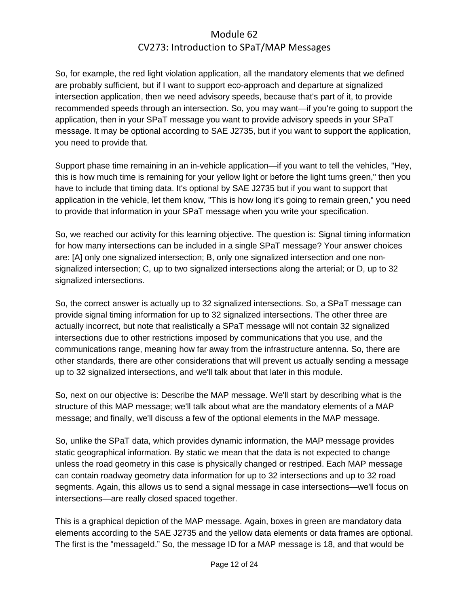So, for example, the red light violation application, all the mandatory elements that we defined are probably sufficient, but if I want to support eco-approach and departure at signalized intersection application, then we need advisory speeds, because that's part of it, to provide recommended speeds through an intersection. So, you may want—if you're going to support the application, then in your SPaT message you want to provide advisory speeds in your SPaT message. It may be optional according to SAE J2735, but if you want to support the application, you need to provide that.

Support phase time remaining in an in-vehicle application—if you want to tell the vehicles, "Hey, this is how much time is remaining for your yellow light or before the light turns green," then you have to include that timing data. It's optional by SAE J2735 but if you want to support that application in the vehicle, let them know, "This is how long it's going to remain green," you need to provide that information in your SPaT message when you write your specification.

So, we reached our activity for this learning objective. The question is: Signal timing information for how many intersections can be included in a single SPaT message? Your answer choices are: [A] only one signalized intersection; B, only one signalized intersection and one nonsignalized intersection; C, up to two signalized intersections along the arterial; or D, up to 32 signalized intersections.

So, the correct answer is actually up to 32 signalized intersections. So, a SPaT message can provide signal timing information for up to 32 signalized intersections. The other three are actually incorrect, but note that realistically a SPaT message will not contain 32 signalized intersections due to other restrictions imposed by communications that you use, and the communications range, meaning how far away from the infrastructure antenna. So, there are other standards, there are other considerations that will prevent us actually sending a message up to 32 signalized intersections, and we'll talk about that later in this module.

So, next on our objective is: Describe the MAP message. We'll start by describing what is the structure of this MAP message; we'll talk about what are the mandatory elements of a MAP message; and finally, we'll discuss a few of the optional elements in the MAP message.

So, unlike the SPaT data, which provides dynamic information, the MAP message provides static geographical information. By static we mean that the data is not expected to change unless the road geometry in this case is physically changed or restriped. Each MAP message can contain roadway geometry data information for up to 32 intersections and up to 32 road segments. Again, this allows us to send a signal message in case intersections—we'll focus on intersections—are really closed spaced together.

This is a graphical depiction of the MAP message. Again, boxes in green are mandatory data elements according to the SAE J2735 and the yellow data elements or data frames are optional. The first is the "messageId." So, the message ID for a MAP message is 18, and that would be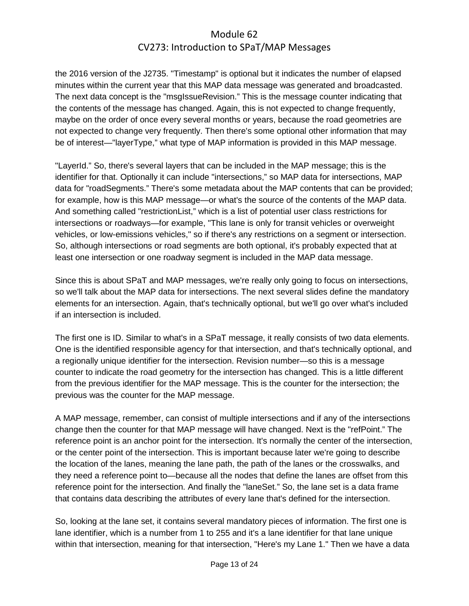the 2016 version of the J2735. "Timestamp" is optional but it indicates the number of elapsed minutes within the current year that this MAP data message was generated and broadcasted. The next data concept is the "msgIssueRevision." This is the message counter indicating that the contents of the message has changed. Again, this is not expected to change frequently, maybe on the order of once every several months or years, because the road geometries are not expected to change very frequently. Then there's some optional other information that may be of interest—"layerType," what type of MAP information is provided in this MAP message.

"LayerId." So, there's several layers that can be included in the MAP message; this is the identifier for that. Optionally it can include "intersections," so MAP data for intersections, MAP data for "roadSegments." There's some metadata about the MAP contents that can be provided; for example, how is this MAP message—or what's the source of the contents of the MAP data. And something called "restrictionList," which is a list of potential user class restrictions for intersections or roadways—for example, "This lane is only for transit vehicles or overweight vehicles, or low-emissions vehicles," so if there's any restrictions on a segment or intersection. So, although intersections or road segments are both optional, it's probably expected that at least one intersection or one roadway segment is included in the MAP data message.

Since this is about SPaT and MAP messages, we're really only going to focus on intersections, so we'll talk about the MAP data for intersections. The next several slides define the mandatory elements for an intersection. Again, that's technically optional, but we'll go over what's included if an intersection is included.

The first one is ID. Similar to what's in a SPaT message, it really consists of two data elements. One is the identified responsible agency for that intersection, and that's technically optional, and a regionally unique identifier for the intersection. Revision number—so this is a message counter to indicate the road geometry for the intersection has changed. This is a little different from the previous identifier for the MAP message. This is the counter for the intersection; the previous was the counter for the MAP message.

A MAP message, remember, can consist of multiple intersections and if any of the intersections change then the counter for that MAP message will have changed. Next is the "refPoint." The reference point is an anchor point for the intersection. It's normally the center of the intersection, or the center point of the intersection. This is important because later we're going to describe the location of the lanes, meaning the lane path, the path of the lanes or the crosswalks, and they need a reference point to—because all the nodes that define the lanes are offset from this reference point for the intersection. And finally the "laneSet." So, the lane set is a data frame that contains data describing the attributes of every lane that's defined for the intersection.

So, looking at the lane set, it contains several mandatory pieces of information. The first one is lane identifier, which is a number from 1 to 255 and it's a lane identifier for that lane unique within that intersection, meaning for that intersection, "Here's my Lane 1." Then we have a data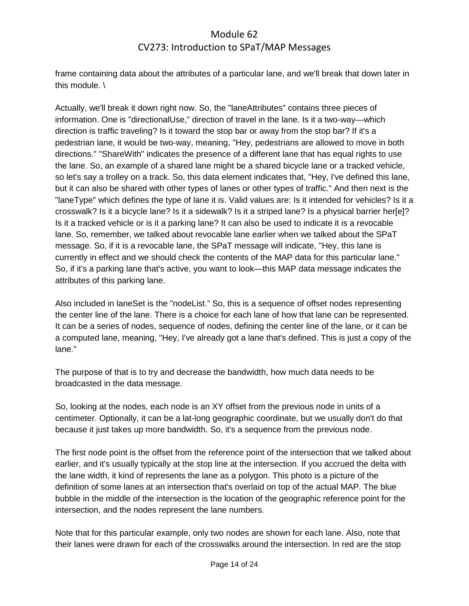frame containing data about the attributes of a particular lane, and we'll break that down later in this module. \

Actually, we'll break it down right now. So, the "laneAttributes" contains three pieces of information. One is "directionalUse," direction of travel in the lane. Is it a two-way—which direction is traffic traveling? Is it toward the stop bar or away from the stop bar? If it's a pedestrian lane, it would be two-way, meaning, "Hey, pedestrians are allowed to move in both directions." "ShareWith" indicates the presence of a different lane that has equal rights to use the lane. So, an example of a shared lane might be a shared bicycle lane or a tracked vehicle, so let's say a trolley on a track. So, this data element indicates that, "Hey, I've defined this lane, but it can also be shared with other types of lanes or other types of traffic." And then next is the "laneType" which defines the type of lane it is. Valid values are: Is it intended for vehicles? Is it a crosswalk? Is it a bicycle lane? Is it a sidewalk? Is it a striped lane? Is a physical barrier her[e]? Is it a tracked vehicle or is it a parking lane? It can also be used to indicate it is a revocable lane. So, remember, we talked about revocable lane earlier when we talked about the SPaT message. So, if it is a revocable lane, the SPaT message will indicate, "Hey, this lane is currently in effect and we should check the contents of the MAP data for this particular lane." So, if it's a parking lane that's active, you want to look—this MAP data message indicates the attributes of this parking lane.

Also included in laneSet is the "nodeList." So, this is a sequence of offset nodes representing the center line of the lane. There is a choice for each lane of how that lane can be represented. It can be a series of nodes, sequence of nodes, defining the center line of the lane, or it can be a computed lane, meaning, "Hey, I've already got a lane that's defined. This is just a copy of the lane."

The purpose of that is to try and decrease the bandwidth, how much data needs to be broadcasted in the data message.

So, looking at the nodes, each node is an XY offset from the previous node in units of a centimeter. Optionally, it can be a lat-long geographic coordinate, but we usually don't do that because it just takes up more bandwidth. So, it's a sequence from the previous node.

The first node point is the offset from the reference point of the intersection that we talked about earlier, and it's usually typically at the stop line at the intersection. If you accrued the delta with the lane width, it kind of represents the lane as a polygon. This photo is a picture of the definition of some lanes at an intersection that's overlaid on top of the actual MAP. The blue bubble in the middle of the intersection is the location of the geographic reference point for the intersection, and the nodes represent the lane numbers.

Note that for this particular example, only two nodes are shown for each lane. Also, note that their lanes were drawn for each of the crosswalks around the intersection. In red are the stop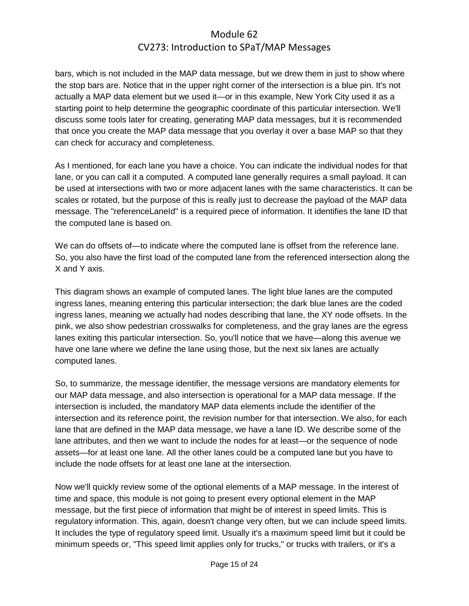bars, which is not included in the MAP data message, but we drew them in just to show where the stop bars are. Notice that in the upper right corner of the intersection is a blue pin. It's not actually a MAP data element but we used it—or in this example, New York City used it as a starting point to help determine the geographic coordinate of this particular intersection. We'll discuss some tools later for creating, generating MAP data messages, but it is recommended that once you create the MAP data message that you overlay it over a base MAP so that they can check for accuracy and completeness.

As I mentioned, for each lane you have a choice. You can indicate the individual nodes for that lane, or you can call it a computed. A computed lane generally requires a small payload. It can be used at intersections with two or more adjacent lanes with the same characteristics. It can be scales or rotated, but the purpose of this is really just to decrease the payload of the MAP data message. The "referenceLaneId" is a required piece of information. It identifies the lane ID that the computed lane is based on.

We can do offsets of—to indicate where the computed lane is offset from the reference lane. So, you also have the first load of the computed lane from the referenced intersection along the X and Y axis.

This diagram shows an example of computed lanes. The light blue lanes are the computed ingress lanes, meaning entering this particular intersection; the dark blue lanes are the coded ingress lanes, meaning we actually had nodes describing that lane, the XY node offsets. In the pink, we also show pedestrian crosswalks for completeness, and the gray lanes are the egress lanes exiting this particular intersection. So, you'll notice that we have—along this avenue we have one lane where we define the lane using those, but the next six lanes are actually computed lanes.

So, to summarize, the message identifier, the message versions are mandatory elements for our MAP data message, and also intersection is operational for a MAP data message. If the intersection is included, the mandatory MAP data elements include the identifier of the intersection and its reference point, the revision number for that intersection. We also, for each lane that are defined in the MAP data message, we have a lane ID. We describe some of the lane attributes, and then we want to include the nodes for at least—or the sequence of node assets—for at least one lane. All the other lanes could be a computed lane but you have to include the node offsets for at least one lane at the intersection.

Now we'll quickly review some of the optional elements of a MAP message. In the interest of time and space, this module is not going to present every optional element in the MAP message, but the first piece of information that might be of interest in speed limits. This is regulatory information. This, again, doesn't change very often, but we can include speed limits. It includes the type of regulatory speed limit. Usually it's a maximum speed limit but it could be minimum speeds or, "This speed limit applies only for trucks," or trucks with trailers, or it's a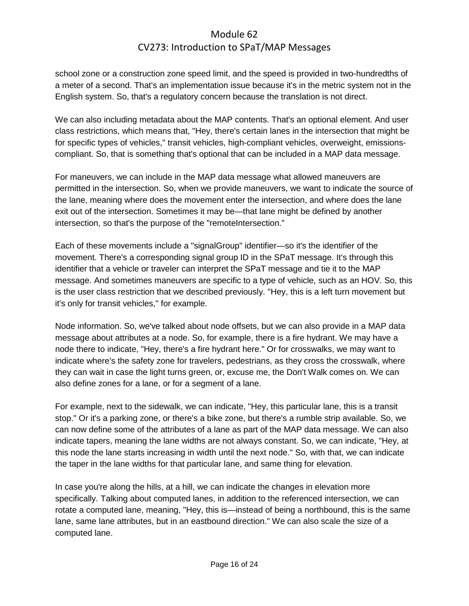school zone or a construction zone speed limit, and the speed is provided in two-hundredths of a meter of a second. That's an implementation issue because it's in the metric system not in the English system. So, that's a regulatory concern because the translation is not direct.

We can also including metadata about the MAP contents. That's an optional element. And user class restrictions, which means that, "Hey, there's certain lanes in the intersection that might be for specific types of vehicles," transit vehicles, high-compliant vehicles, overweight, emissionscompliant. So, that is something that's optional that can be included in a MAP data message.

For maneuvers, we can include in the MAP data message what allowed maneuvers are permitted in the intersection. So, when we provide maneuvers, we want to indicate the source of the lane, meaning where does the movement enter the intersection, and where does the lane exit out of the intersection. Sometimes it may be—that lane might be defined by another intersection, so that's the purpose of the "remoteIntersection."

Each of these movements include a "signalGroup" identifier—so it's the identifier of the movement. There's a corresponding signal group ID in the SPaT message. It's through this identifier that a vehicle or traveler can interpret the SPaT message and tie it to the MAP message. And sometimes maneuvers are specific to a type of vehicle, such as an HOV. So, this is the user class restriction that we described previously. "Hey, this is a left turn movement but it's only for transit vehicles," for example.

Node information. So, we've talked about node offsets, but we can also provide in a MAP data message about attributes at a node. So, for example, there is a fire hydrant. We may have a node there to indicate, "Hey, there's a fire hydrant here." Or for crosswalks, we may want to indicate where's the safety zone for travelers, pedestrians, as they cross the crosswalk, where they can wait in case the light turns green, or, excuse me, the Don't Walk comes on. We can also define zones for a lane, or for a segment of a lane.

For example, next to the sidewalk, we can indicate, "Hey, this particular lane, this is a transit stop." Or it's a parking zone, or there's a bike zone, but there's a rumble strip available. So, we can now define some of the attributes of a lane as part of the MAP data message. We can also indicate tapers, meaning the lane widths are not always constant. So, we can indicate, "Hey, at this node the lane starts increasing in width until the next node." So, with that, we can indicate the taper in the lane widths for that particular lane, and same thing for elevation.

In case you're along the hills, at a hill, we can indicate the changes in elevation more specifically. Talking about computed lanes, in addition to the referenced intersection, we can rotate a computed lane, meaning, "Hey, this is—instead of being a northbound, this is the same lane, same lane attributes, but in an eastbound direction." We can also scale the size of a computed lane.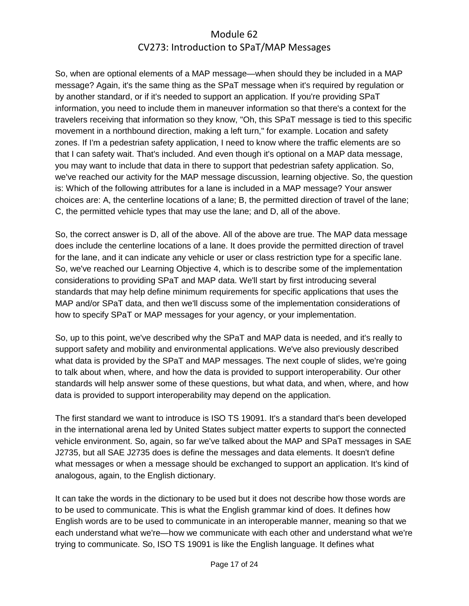So, when are optional elements of a MAP message—when should they be included in a MAP message? Again, it's the same thing as the SPaT message when it's required by regulation or by another standard, or if it's needed to support an application. If you're providing SPaT information, you need to include them in maneuver information so that there's a context for the travelers receiving that information so they know, "Oh, this SPaT message is tied to this specific movement in a northbound direction, making a left turn," for example. Location and safety zones. If I'm a pedestrian safety application, I need to know where the traffic elements are so that I can safety wait. That's included. And even though it's optional on a MAP data message, you may want to include that data in there to support that pedestrian safety application. So, we've reached our activity for the MAP message discussion, learning objective. So, the question is: Which of the following attributes for a lane is included in a MAP message? Your answer choices are: A, the centerline locations of a lane; B, the permitted direction of travel of the lane; C, the permitted vehicle types that may use the lane; and D, all of the above.

So, the correct answer is D, all of the above. All of the above are true. The MAP data message does include the centerline locations of a lane. It does provide the permitted direction of travel for the lane, and it can indicate any vehicle or user or class restriction type for a specific lane. So, we've reached our Learning Objective 4, which is to describe some of the implementation considerations to providing SPaT and MAP data. We'll start by first introducing several standards that may help define minimum requirements for specific applications that uses the MAP and/or SPaT data, and then we'll discuss some of the implementation considerations of how to specify SPaT or MAP messages for your agency, or your implementation.

So, up to this point, we've described why the SPaT and MAP data is needed, and it's really to support safety and mobility and environmental applications. We've also previously described what data is provided by the SPaT and MAP messages. The next couple of slides, we're going to talk about when, where, and how the data is provided to support interoperability. Our other standards will help answer some of these questions, but what data, and when, where, and how data is provided to support interoperability may depend on the application.

The first standard we want to introduce is ISO TS 19091. It's a standard that's been developed in the international arena led by United States subject matter experts to support the connected vehicle environment. So, again, so far we've talked about the MAP and SPaT messages in SAE J2735, but all SAE J2735 does is define the messages and data elements. It doesn't define what messages or when a message should be exchanged to support an application. It's kind of analogous, again, to the English dictionary.

It can take the words in the dictionary to be used but it does not describe how those words are to be used to communicate. This is what the English grammar kind of does. It defines how English words are to be used to communicate in an interoperable manner, meaning so that we each understand what we're—how we communicate with each other and understand what we're trying to communicate. So, ISO TS 19091 is like the English language. It defines what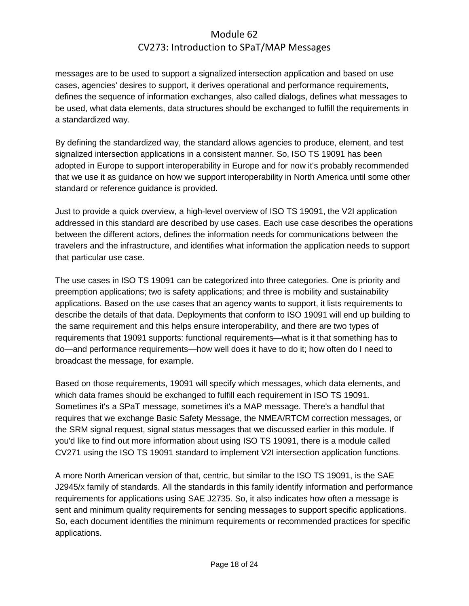messages are to be used to support a signalized intersection application and based on use cases, agencies' desires to support, it derives operational and performance requirements, defines the sequence of information exchanges, also called dialogs, defines what messages to be used, what data elements, data structures should be exchanged to fulfill the requirements in a standardized way.

By defining the standardized way, the standard allows agencies to produce, element, and test signalized intersection applications in a consistent manner. So, ISO TS 19091 has been adopted in Europe to support interoperability in Europe and for now it's probably recommended that we use it as guidance on how we support interoperability in North America until some other standard or reference guidance is provided.

Just to provide a quick overview, a high-level overview of ISO TS 19091, the V2I application addressed in this standard are described by use cases. Each use case describes the operations between the different actors, defines the information needs for communications between the travelers and the infrastructure, and identifies what information the application needs to support that particular use case.

The use cases in ISO TS 19091 can be categorized into three categories. One is priority and preemption applications; two is safety applications; and three is mobility and sustainability applications. Based on the use cases that an agency wants to support, it lists requirements to describe the details of that data. Deployments that conform to ISO 19091 will end up building to the same requirement and this helps ensure interoperability, and there are two types of requirements that 19091 supports: functional requirements—what is it that something has to do—and performance requirements—how well does it have to do it; how often do I need to broadcast the message, for example.

Based on those requirements, 19091 will specify which messages, which data elements, and which data frames should be exchanged to fulfill each requirement in ISO TS 19091. Sometimes it's a SPaT message, sometimes it's a MAP message. There's a handful that requires that we exchange Basic Safety Message, the NMEA/RTCM correction messages, or the SRM signal request, signal status messages that we discussed earlier in this module. If you'd like to find out more information about using ISO TS 19091, there is a module called CV271 using the ISO TS 19091 standard to implement V2I intersection application functions.

A more North American version of that, centric, but similar to the ISO TS 19091, is the SAE J2945/x family of standards. All the standards in this family identify information and performance requirements for applications using SAE J2735. So, it also indicates how often a message is sent and minimum quality requirements for sending messages to support specific applications. So, each document identifies the minimum requirements or recommended practices for specific applications.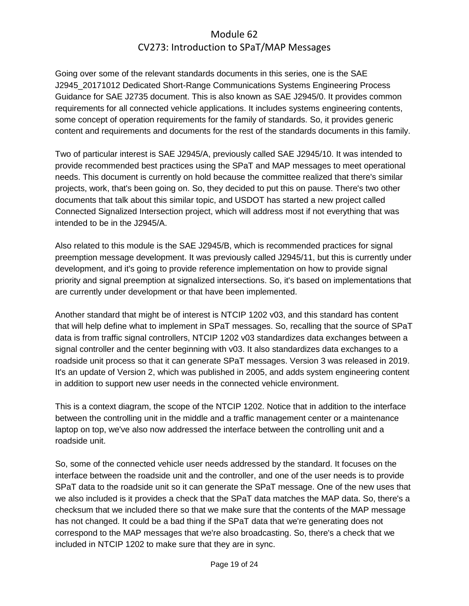Going over some of the relevant standards documents in this series, one is the SAE J2945\_20171012 Dedicated Short-Range Communications Systems Engineering Process Guidance for SAE J2735 document. This is also known as SAE J2945/0. It provides common requirements for all connected vehicle applications. It includes systems engineering contents, some concept of operation requirements for the family of standards. So, it provides generic content and requirements and documents for the rest of the standards documents in this family.

Two of particular interest is SAE J2945/A, previously called SAE J2945/10. It was intended to provide recommended best practices using the SPaT and MAP messages to meet operational needs. This document is currently on hold because the committee realized that there's similar projects, work, that's been going on. So, they decided to put this on pause. There's two other documents that talk about this similar topic, and USDOT has started a new project called Connected Signalized Intersection project, which will address most if not everything that was intended to be in the J2945/A.

Also related to this module is the SAE J2945/B, which is recommended practices for signal preemption message development. It was previously called J2945/11, but this is currently under development, and it's going to provide reference implementation on how to provide signal priority and signal preemption at signalized intersections. So, it's based on implementations that are currently under development or that have been implemented.

Another standard that might be of interest is NTCIP 1202 v03, and this standard has content that will help define what to implement in SPaT messages. So, recalling that the source of SPaT data is from traffic signal controllers, NTCIP 1202 v03 standardizes data exchanges between a signal controller and the center beginning with v03. It also standardizes data exchanges to a roadside unit process so that it can generate SPaT messages. Version 3 was released in 2019. It's an update of Version 2, which was published in 2005, and adds system engineering content in addition to support new user needs in the connected vehicle environment.

This is a context diagram, the scope of the NTCIP 1202. Notice that in addition to the interface between the controlling unit in the middle and a traffic management center or a maintenance laptop on top, we've also now addressed the interface between the controlling unit and a roadside unit.

So, some of the connected vehicle user needs addressed by the standard. It focuses on the interface between the roadside unit and the controller, and one of the user needs is to provide SPaT data to the roadside unit so it can generate the SPaT message. One of the new uses that we also included is it provides a check that the SPaT data matches the MAP data. So, there's a checksum that we included there so that we make sure that the contents of the MAP message has not changed. It could be a bad thing if the SPaT data that we're generating does not correspond to the MAP messages that we're also broadcasting. So, there's a check that we included in NTCIP 1202 to make sure that they are in sync.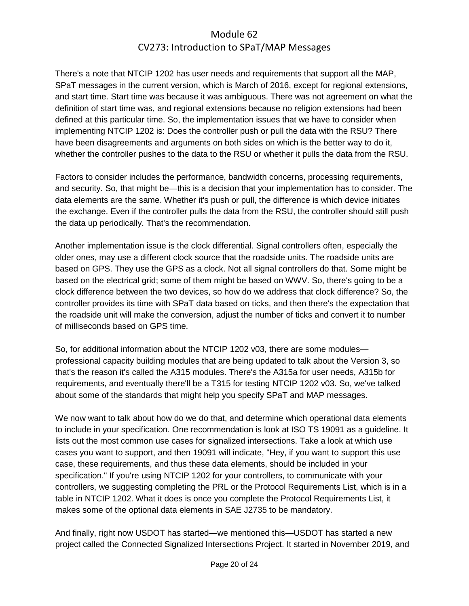There's a note that NTCIP 1202 has user needs and requirements that support all the MAP, SPaT messages in the current version, which is March of 2016, except for regional extensions, and start time. Start time was because it was ambiguous. There was not agreement on what the definition of start time was, and regional extensions because no religion extensions had been defined at this particular time. So, the implementation issues that we have to consider when implementing NTCIP 1202 is: Does the controller push or pull the data with the RSU? There have been disagreements and arguments on both sides on which is the better way to do it, whether the controller pushes to the data to the RSU or whether it pulls the data from the RSU.

Factors to consider includes the performance, bandwidth concerns, processing requirements, and security. So, that might be—this is a decision that your implementation has to consider. The data elements are the same. Whether it's push or pull, the difference is which device initiates the exchange. Even if the controller pulls the data from the RSU, the controller should still push the data up periodically. That's the recommendation.

Another implementation issue is the clock differential. Signal controllers often, especially the older ones, may use a different clock source that the roadside units. The roadside units are based on GPS. They use the GPS as a clock. Not all signal controllers do that. Some might be based on the electrical grid; some of them might be based on WWV. So, there's going to be a clock difference between the two devices, so how do we address that clock difference? So, the controller provides its time with SPaT data based on ticks, and then there's the expectation that the roadside unit will make the conversion, adjust the number of ticks and convert it to number of milliseconds based on GPS time.

So, for additional information about the NTCIP 1202 v03, there are some modules professional capacity building modules that are being updated to talk about the Version 3, so that's the reason it's called the A315 modules. There's the A315a for user needs, A315b for requirements, and eventually there'll be a T315 for testing NTCIP 1202 v03. So, we've talked about some of the standards that might help you specify SPaT and MAP messages.

We now want to talk about how do we do that, and determine which operational data elements to include in your specification. One recommendation is look at ISO TS 19091 as a guideline. It lists out the most common use cases for signalized intersections. Take a look at which use cases you want to support, and then 19091 will indicate, "Hey, if you want to support this use case, these requirements, and thus these data elements, should be included in your specification." If you're using NTCIP 1202 for your controllers, to communicate with your controllers, we suggesting completing the PRL or the Protocol Requirements List, which is in a table in NTCIP 1202. What it does is once you complete the Protocol Requirements List, it makes some of the optional data elements in SAE J2735 to be mandatory.

And finally, right now USDOT has started—we mentioned this—USDOT has started a new project called the Connected Signalized Intersections Project. It started in November 2019, and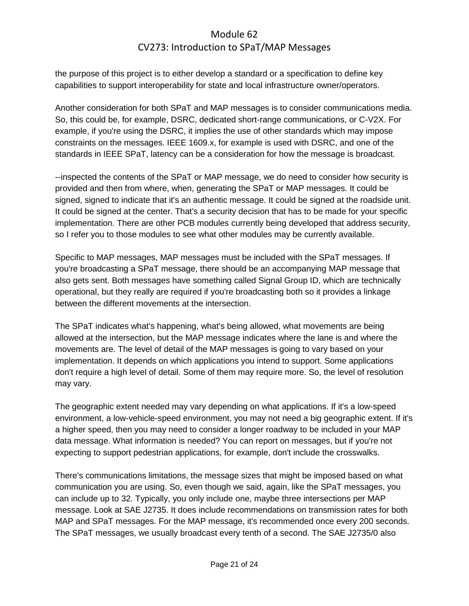the purpose of this project is to either develop a standard or a specification to define key capabilities to support interoperability for state and local infrastructure owner/operators.

Another consideration for both SPaT and MAP messages is to consider communications media. So, this could be, for example, DSRC, dedicated short-range communications, or C-V2X. For example, if you're using the DSRC, it implies the use of other standards which may impose constraints on the messages. IEEE 1609.x, for example is used with DSRC, and one of the standards in IEEE SPaT, latency can be a consideration for how the message is broadcast.

--inspected the contents of the SPaT or MAP message, we do need to consider how security is provided and then from where, when, generating the SPaT or MAP messages. It could be signed, signed to indicate that it's an authentic message. It could be signed at the roadside unit. It could be signed at the center. That's a security decision that has to be made for your specific implementation. There are other PCB modules currently being developed that address security, so I refer you to those modules to see what other modules may be currently available.

Specific to MAP messages, MAP messages must be included with the SPaT messages. If you're broadcasting a SPaT message, there should be an accompanying MAP message that also gets sent. Both messages have something called Signal Group ID, which are technically operational, but they really are required if you're broadcasting both so it provides a linkage between the different movements at the intersection.

The SPaT indicates what's happening, what's being allowed, what movements are being allowed at the intersection, but the MAP message indicates where the lane is and where the movements are. The level of detail of the MAP messages is going to vary based on your implementation. It depends on which applications you intend to support. Some applications don't require a high level of detail. Some of them may require more. So, the level of resolution may vary.

The geographic extent needed may vary depending on what applications. If it's a low-speed environment, a low-vehicle-speed environment, you may not need a big geographic extent. If it's a higher speed, then you may need to consider a longer roadway to be included in your MAP data message. What information is needed? You can report on messages, but if you're not expecting to support pedestrian applications, for example, don't include the crosswalks.

There's communications limitations, the message sizes that might be imposed based on what communication you are using. So, even though we said, again, like the SPaT messages, you can include up to 32. Typically, you only include one, maybe three intersections per MAP message. Look at SAE J2735. It does include recommendations on transmission rates for both MAP and SPaT messages. For the MAP message, it's recommended once every 200 seconds. The SPaT messages, we usually broadcast every tenth of a second. The SAE J2735/0 also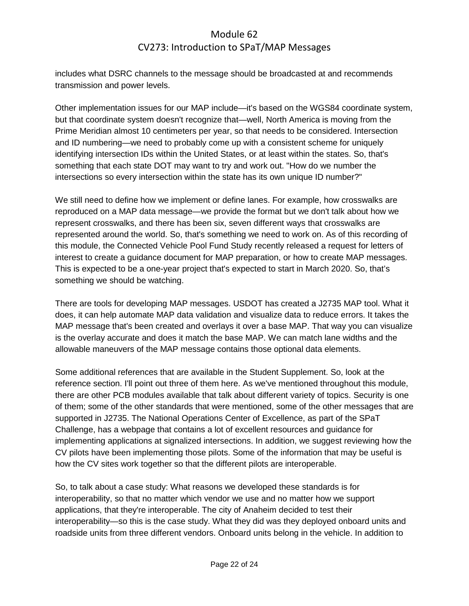includes what DSRC channels to the message should be broadcasted at and recommends transmission and power levels.

Other implementation issues for our MAP include—it's based on the WGS84 coordinate system, but that coordinate system doesn't recognize that—well, North America is moving from the Prime Meridian almost 10 centimeters per year, so that needs to be considered. Intersection and ID numbering—we need to probably come up with a consistent scheme for uniquely identifying intersection IDs within the United States, or at least within the states. So, that's something that each state DOT may want to try and work out. "How do we number the intersections so every intersection within the state has its own unique ID number?"

We still need to define how we implement or define lanes. For example, how crosswalks are reproduced on a MAP data message—we provide the format but we don't talk about how we represent crosswalks, and there has been six, seven different ways that crosswalks are represented around the world. So, that's something we need to work on. As of this recording of this module, the Connected Vehicle Pool Fund Study recently released a request for letters of interest to create a guidance document for MAP preparation, or how to create MAP messages. This is expected to be a one-year project that's expected to start in March 2020. So, that's something we should be watching.

There are tools for developing MAP messages. USDOT has created a J2735 MAP tool. What it does, it can help automate MAP data validation and visualize data to reduce errors. It takes the MAP message that's been created and overlays it over a base MAP. That way you can visualize is the overlay accurate and does it match the base MAP. We can match lane widths and the allowable maneuvers of the MAP message contains those optional data elements.

Some additional references that are available in the Student Supplement. So, look at the reference section. I'll point out three of them here. As we've mentioned throughout this module, there are other PCB modules available that talk about different variety of topics. Security is one of them; some of the other standards that were mentioned, some of the other messages that are supported in J2735. The National Operations Center of Excellence, as part of the SPaT Challenge, has a webpage that contains a lot of excellent resources and guidance for implementing applications at signalized intersections. In addition, we suggest reviewing how the CV pilots have been implementing those pilots. Some of the information that may be useful is how the CV sites work together so that the different pilots are interoperable.

So, to talk about a case study: What reasons we developed these standards is for interoperability, so that no matter which vendor we use and no matter how we support applications, that they're interoperable. The city of Anaheim decided to test their interoperability—so this is the case study. What they did was they deployed onboard units and roadside units from three different vendors. Onboard units belong in the vehicle. In addition to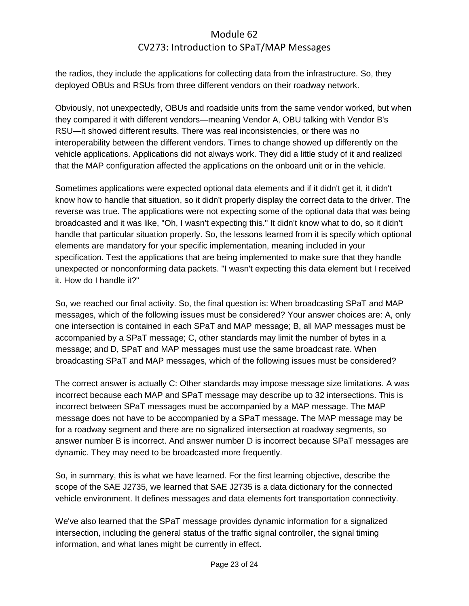the radios, they include the applications for collecting data from the infrastructure. So, they deployed OBUs and RSUs from three different vendors on their roadway network.

Obviously, not unexpectedly, OBUs and roadside units from the same vendor worked, but when they compared it with different vendors—meaning Vendor A, OBU talking with Vendor B's RSU—it showed different results. There was real inconsistencies, or there was no interoperability between the different vendors. Times to change showed up differently on the vehicle applications. Applications did not always work. They did a little study of it and realized that the MAP configuration affected the applications on the onboard unit or in the vehicle.

Sometimes applications were expected optional data elements and if it didn't get it, it didn't know how to handle that situation, so it didn't properly display the correct data to the driver. The reverse was true. The applications were not expecting some of the optional data that was being broadcasted and it was like, "Oh, I wasn't expecting this." It didn't know what to do, so it didn't handle that particular situation properly. So, the lessons learned from it is specify which optional elements are mandatory for your specific implementation, meaning included in your specification. Test the applications that are being implemented to make sure that they handle unexpected or nonconforming data packets. "I wasn't expecting this data element but I received it. How do I handle it?"

So, we reached our final activity. So, the final question is: When broadcasting SPaT and MAP messages, which of the following issues must be considered? Your answer choices are: A, only one intersection is contained in each SPaT and MAP message; B, all MAP messages must be accompanied by a SPaT message; C, other standards may limit the number of bytes in a message; and D, SPaT and MAP messages must use the same broadcast rate. When broadcasting SPaT and MAP messages, which of the following issues must be considered?

The correct answer is actually C: Other standards may impose message size limitations. A was incorrect because each MAP and SPaT message may describe up to 32 intersections. This is incorrect between SPaT messages must be accompanied by a MAP message. The MAP message does not have to be accompanied by a SPaT message. The MAP message may be for a roadway segment and there are no signalized intersection at roadway segments, so answer number B is incorrect. And answer number D is incorrect because SPaT messages are dynamic. They may need to be broadcasted more frequently.

So, in summary, this is what we have learned. For the first learning objective, describe the scope of the SAE J2735, we learned that SAE J2735 is a data dictionary for the connected vehicle environment. It defines messages and data elements fort transportation connectivity.

We've also learned that the SPaT message provides dynamic information for a signalized intersection, including the general status of the traffic signal controller, the signal timing information, and what lanes might be currently in effect.